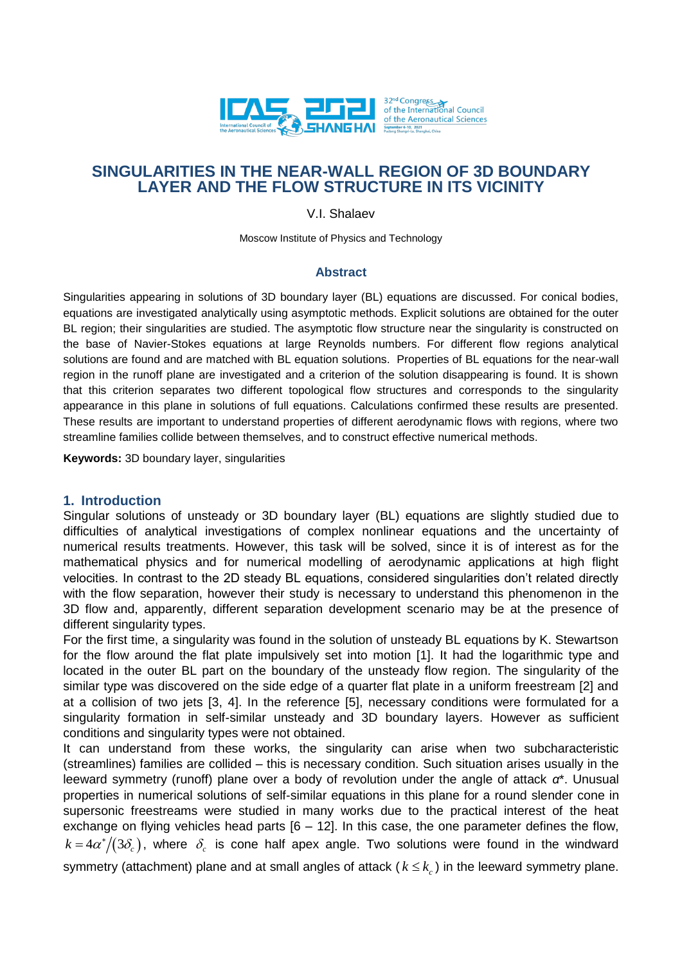

# **SINGULARITIES IN THE NEAR-WALL REGION OF 3D BOUNDARY LAYER AND THE FLOW STRUCTURE IN ITS VICINITY**

V.I. Shalaev

Moscow Institute of Physics and Technology

### **Abstract**

Singularities appearing in solutions of 3D boundary layer (BL) equations are discussed. For conical bodies, equations are investigated analytically using asymptotic methods. Explicit solutions are obtained for the outer BL region; their singularities are studied. The asymptotic flow structure near the singularity is constructed on the base of Navier-Stokes equations at large Reynolds numbers. For different flow regions analytical solutions are found and are matched with BL equation solutions. Properties of BL equations for the near-wall region in the runoff plane are investigated and a criterion of the solution disappearing is found. It is shown that this criterion separates two different topological flow structures and corresponds to the singularity appearance in this plane in solutions of full equations. Calculations confirmed these results are presented. These results are important to understand properties of different aerodynamic flows with regions, where two streamline families collide between themselves, and to construct effective numerical methods.

**Keywords:** 3D boundary layer, singularities

### **1. Introduction**

Singular solutions of unsteady or 3D boundary layer (BL) equations are slightly studied due to difficulties of analytical investigations of complex nonlinear equations and the uncertainty of numerical results treatments. However, this task will be solved, since it is of interest as for the mathematical physics and for numerical modelling of aerodynamic applications at high flight velocities. In contrast to the 2D steady BL equations, considered singularities don't related directly with the flow separation, however their study is necessary to understand this phenomenon in the 3D flow and, apparently, different separation development scenario may be at the presence of different singularity types.

For the first time, a singularity was found in the solution of unsteady BL equations by K. Stewartson for the flow around the flat plate impulsively set into motion [1]. It had the logarithmic type and located in the outer BL part on the boundary of the unsteady flow region. The singularity of the similar type was discovered on the side edge of a quarter flat plate in a uniform freestream [2] and at a collision of two jets [3, 4]. In the reference [5], necessary conditions were formulated for a singularity formation in self-similar unsteady and 3D boundary layers. However as sufficient conditions and singularity types were not obtained.

It can understand from these works, the singularity can arise when two subcharacteristic (streamlines) families are collided – this is necessary condition. Such situation arises usually in the leeward symmetry (runoff) plane over a body of revolution under the angle of attack *α*\*. Unusual properties in numerical solutions of self-similar equations in this plane for a round slender cone in supersonic freestreams were studied in many works due to the practical interest of the heat exchange on flying vehicles head parts [6 – 12]. In this case, the one parameter defines the flow,  $k = 4\alpha^*/(3\delta_c)$ , where  $\delta_c$  is cone half apex angle. Two solutions were found in the windward symmetry (attachment) plane and at small angles of attack ( $k \leq k_c$ ) in the leeward symmetry plane.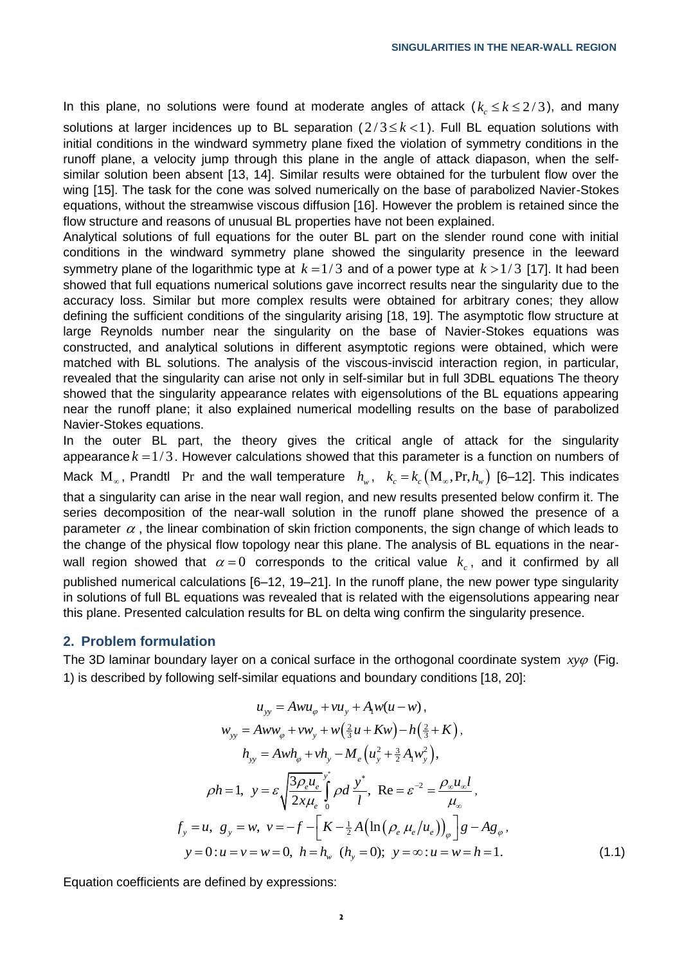In this plane, no solutions were found at moderate angles of attack  $(k_c \leq k \leq 2/3)$ , and many solutions at larger incidences up to BL separation  $(2/3 \le k < 1)$ . Full BL equation solutions with initial conditions in the windward symmetry plane fixed the violation of symmetry conditions in the runoff plane, a velocity jump through this plane in the angle of attack diapason, when the selfsimilar solution been absent [13, 14]. Similar results were obtained for the turbulent flow over the wing [15]. The task for the cone was solved numerically on the base of parabolized Navier-Stokes equations, without the streamwise viscous diffusion [16]. However the problem is retained since the flow structure and reasons of unusual BL properties have not been explained.

Analytical solutions of full equations for the outer BL part on the slender round cone with initial conditions in the windward symmetry plane showed the singularity presence in the leeward symmetry plane of the logarithmic type at  $k = 1/3$  and of a power type at  $k > 1/3$  [17]. It had been showed that full equations numerical solutions gave incorrect results near the singularity due to the accuracy loss. Similar but more complex results were obtained for arbitrary cones; they allow defining the sufficient conditions of the singularity arising [18, 19]. The asymptotic flow structure at large Reynolds number near the singularity on the base of Navier-Stokes equations was constructed, and analytical solutions in different asymptotic regions were obtained, which were matched with BL solutions. The analysis of the viscous-inviscid interaction region, in particular, revealed that the singularity can arise not only in self-similar but in full 3DBL equations The theory showed that the singularity appearance relates with eigensolutions of the BL equations appearing near the runoff plane; it also explained numerical modelling results on the base of parabolized Navier-Stokes equations.

In the outer BL part, the theory gives the critical angle of attack for the singularity appearance  $k = 1/3$ . However calculations showed that this parameter is a function on numbers of Mack  $M_{\infty}$ , Prandtl Pr and the wall temperature  $h_{w}$ ,  $k_{c} = k_{c} (M_{\infty}, Pr, h_{w})$  [6–12]. This indicates that a singularity can arise in the near wall region, and new results presented below confirm it. The series decomposition of the near-wall solution in the runoff plane showed the presence of a parameter  $\alpha$  , the linear combination of skin friction components, the sign change of which leads to the change of the physical flow topology near this plane. The analysis of BL equations in the nearwall region showed that  $\alpha = 0$  corresponds to the critical value  $k_c$ , and it confirmed by all published numerical calculations [6–12, 19–21]. In the runoff plane, the new power type singularity in solutions of full BL equations was revealed that is related with the eigensolutions appearing near

## **2. Problem formulation**

The 3D laminar boundary layer on a conical surface in the orthogonal coordinate system *xy* (Fig. 1) is described by following self-similar equations and boundary conditions [18, 20]:

this plane. Presented calculation results for BL on delta wing confirm the singularity presence**.**

$$
u_{yy} = A w u_{\varphi} + v u_{y} + A_{1} w (u - w),
$$
  
\n
$$
w_{yy} = A w w_{\varphi} + v w_{y} + w (\frac{2}{3} u + K w) - h (\frac{2}{3} + K),
$$
  
\n
$$
h_{yy} = A w h_{\varphi} + v h_{y} - M_{e} (u_{y}^{2} + \frac{3}{2} A_{1} w_{y}^{2}),
$$
  
\n
$$
\rho h = 1, \quad y = \varepsilon \sqrt{\frac{3 \rho_{e} u_{e}}{2 x \mu_{e}}} \int_{0}^{y} \rho d \frac{y^{*}}{l}, \quad \text{Re} = \varepsilon^{-2} = \frac{\rho_{\infty} u_{\infty} l}{\mu_{\infty}},
$$
  
\n
$$
f_{y} = u, \quad g_{y} = w, \quad v = -f - \left[ K - \frac{1}{2} A \left( \ln (\rho_{e} \mu_{e} / u_{e}) \right)_{\varphi} \right] g - A g_{\varphi},
$$
  
\n
$$
y = 0: u = v = w = 0, \quad h = h_{w} \quad (h_{y} = 0); \quad y = \infty: u = w = h = 1.
$$
  
\n(1.1)

Equation coefficients are defined by expressions: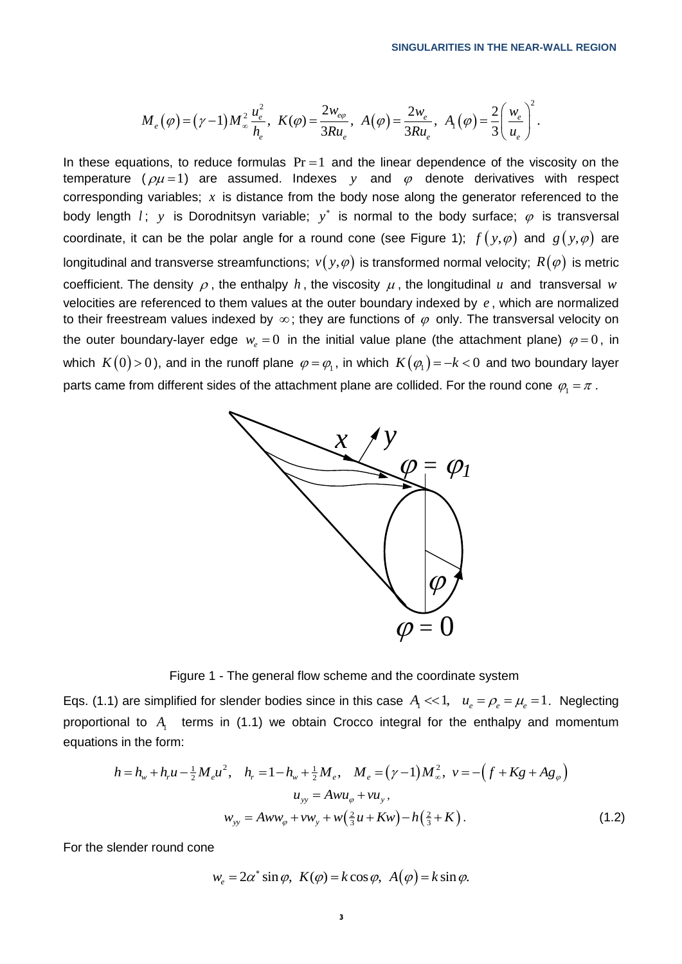$$
M_e(\varphi) = (\gamma - 1) M_{\infty}^2 \frac{u_e^2}{h_e}, \ K(\varphi) = \frac{2w_{e\varphi}}{3Ru_e}, \ A(\varphi) = \frac{2w_e}{3Ru_e}, \ A_1(\varphi) = \frac{2}{3} \left(\frac{w_e}{u_e}\right)^2.
$$

In these equations, to reduce formulas  $Pr = 1$  and the linear dependence of the viscosity on the temperature ( $\rho\mu$ =1) are assumed. Indexes y and  $\varphi$  denote derivatives with respect corresponding variables;  $x$  is distance from the body nose along the generator referenced to the body length  $l$ ;  $y$  is Dorodnitsyn variable;  $y^*$  is normal to the body surface;  $\varphi$  is transversal coordinate, it can be the polar angle for a round cone (see Figure 1);  $f(y,\varphi)$  and  $g(y,\varphi)$  are longitudinal and transverse streamfunctions;  $\mathit{v}(\mathit{y},\varphi)$  is transformed normal velocity;  $\mathit{R}(\varphi)$  is metric coefficient. The density  $\rho$ , the enthalpy  $h$ , the viscosity  $\mu$ , the longitudinal  $u$  and transversal  $w$ velocities are referenced to them values at the outer boundary indexed by *e* , which are normalized to their freestream values indexed by  $\infty$ ; they are functions of  $\varphi$  only. The transversal velocity on the outer boundary-layer edge  $w_e = 0$  in the initial value plane (the attachment plane)  $\varphi = 0$ , in which  $\ K(0)\!>\!0$  ), and in the runoff plane  $\,\varphi\!=\!\varphi_{\!_1}.$  in which  $\,K\big(\varphi_{\!_1}\big)\!=\!-k\!<\!0\,$  and two boundary layer parts came from different sides of the attachment plane are collided. For the round cone  $\,\varphi_{_{\rm l}}\!=\!\pi$  .



Figure 1 - The general flow scheme and the coordinate system

Eqs. (1.1) are simplified for slender bodies since in this case  $A<sub>1</sub> << 1$ ,  $u<sub>e</sub> = \rho<sub>e</sub> = \mu<sub>e</sub> = 1$ . Neglecting proportional to  $A_1$  terms in (1.1) we obtain Crocco integral for the enthalpy and momentum<br>equations in the form:<br> $h = h_w + h_r u - \frac{1}{2} M_e u^2$ ,  $h_r = 1 - h_w + \frac{1}{2} M_e$ ,  $M_e = (\gamma - 1) M_\infty^2$ ,  $v = -(f + Kg + Ag_\varphi)$ equations in the form:

s in the form:  
\n
$$
h = h_w + h_r u - \frac{1}{2} M_e u^2, \quad h_r = 1 - h_w + \frac{1}{2} M_e, \quad M_e = (\gamma - 1) M_\infty^2, \quad v = -(f + Kg + Ag_\varphi)
$$
\n
$$
u_{yy} = Aw u_\varphi + v u_y,
$$
\n
$$
w_{yy} = Aw w_\varphi + v w_y + w(\frac{2}{3}u + Kw) - h(\frac{2}{3} + K).
$$
\n(1.2)

For the slender round cone

$$
w_e = 2\alpha^* \sin \varphi, \ \ K(\varphi) = k \cos \varphi, \ \ A(\varphi) = k \sin \varphi.
$$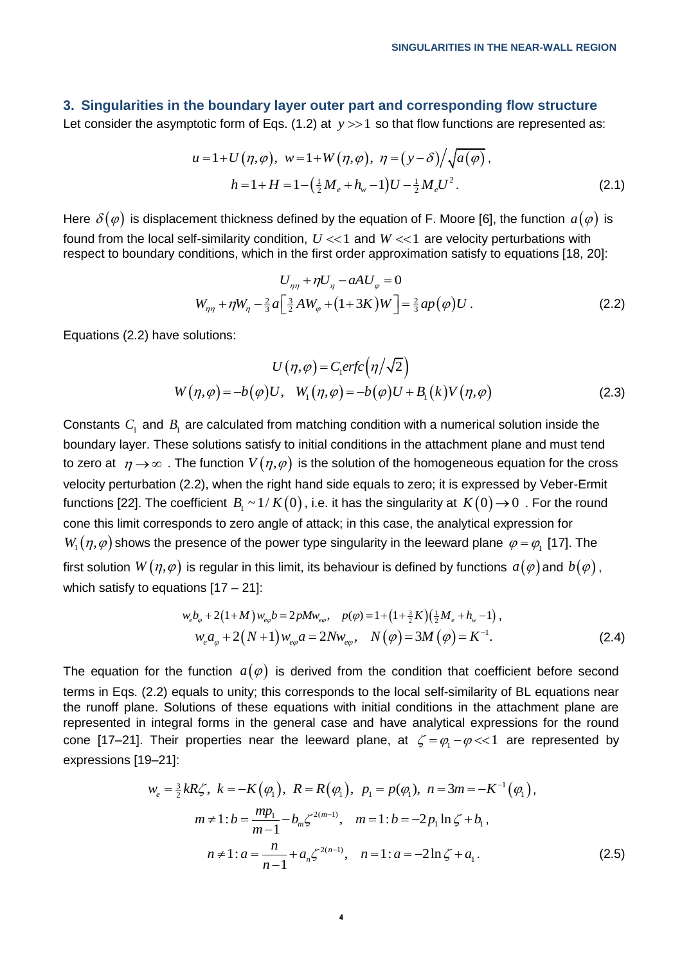#### **3. Singularities in the boundary layer outer part and corresponding flow structure**

Let consider the asymptotic form of Eqs. (1.2) at 
$$
y \gg 1
$$
 so that flow functions are represented as:  
\n
$$
u = 1 + U(\eta, \varphi), \ w = 1 + W(\eta, \varphi), \ \eta = (y - \delta) / \sqrt{a(\varphi)},
$$
\n
$$
h = 1 + H = 1 - (\frac{1}{2}M_e + h_w - 1)U - \frac{1}{2}M_eU^2.
$$
\n(2.1)

Here  $\,\delta(\varphi)\,$  is displacement thickness defined by the equation of F. Moore [6], the function  $\,a(\varphi)\,$  is found from the local self-similarity condition,  $U << 1$  and  $W << 1$  are velocity perturbations with respect to boundary conditions, which in the first order approximation satisfy to equations [18, 20]:

$$
U_{\eta\eta} + \eta U_{\eta} - aAU_{\varphi} = 0
$$
  

$$
W_{\eta\eta} + \eta W_{\eta} - \frac{2}{3} a \left[ \frac{3}{2} AW_{\varphi} + (1+3K)W \right] = \frac{2}{3} a p(\varphi) U.
$$
 (2.2)

Equations (2.2) have solutions:

$$
U(\eta,\varphi) = C_1 erfc(\eta/\sqrt{2})
$$
  
 
$$
W(\eta,\varphi) = -b(\varphi)U, \quad W_1(\eta,\varphi) = -b(\varphi)U + B_1(k)V(\eta,\varphi)
$$
 (2.3)

Constants  $C_1$  and  $B_1$  are calculated from matching condition with a numerical solution inside the boundary layer. These solutions satisfy to initial conditions in the attachment plane and must tend to zero at  $~\eta$   $\rightarrow$   $\infty$  . The function  $V(\eta,\varphi)$  is the solution of the homogeneous equation for the cross velocity perturbation (2.2), when the right hand side equals to zero; it is expressed by Veber-Ermit functions [22]. The coefficient  $\,\,B_{_{\rm l}}\sim$  1 /  $K(0)$  , i.e. it has the singularity at  $\,K(0)\!\rightarrow\!0\,$  . For the round cone this limit corresponds to zero angle of attack; in this case, the analytical expression for  $W_1(\eta,\varphi)$  shows the presence of the power type singularity in the leeward plane  $\varphi = \varphi_1$  [17]. The first solution  $W(\eta,\varphi)$  is regular in this limit, its behaviour is defined by functions  $\,a(\varphi)$  and  $\,b(\varphi)$  , which satisfy to equations  $[17 - 21]$ :

tions [17 – 21]:  
\n
$$
w_{e}b_{\varphi} + 2(1+M)w_{e\varphi}b = 2pMw_{e\varphi}, \quad p(\varphi) = 1 + (1 + \frac{3}{2}K)(\frac{1}{2}M_{e} + h_{w} - 1),
$$
\n
$$
w_{e}a_{\varphi} + 2(N+1)w_{e\varphi}a = 2Nw_{e\varphi}, \quad N(\varphi) = 3M(\varphi) = K^{-1}.
$$
\n(2.4)

The equation for the function  $a(\varphi)$  is derived from the condition that coefficient before second terms in Eqs. (2.2) equals to unity; this corresponds to the local self-similarity of BL equations near the runoff plane. Solutions of these equations with initial conditions in the attachment plane are represented in integral forms in the general case and have analytical expressions for the round cone [17–21]. Their properties near the leeward plane, at  $\zeta = \varphi_1 - \varphi \ll 1$  are represented by expressions [19–21]:<br>  $w_e = \frac{3}{2}kR\zeta$ ,  $k = -K(\varphi_1)$ ,  $R = R(\varphi_1)$ ,  $p_1 = p(\varphi_1)$ ,  $n = 3m = -K^{-1}(\varphi_1)$ , expressions [19–21]:

$$
w_e = \frac{3}{2}kR\zeta, \ k = -K(\varphi_1), \ R = R(\varphi_1), \ p_1 = p(\varphi_1), \ n = 3m = -K^{-1}(\varphi_1),
$$
  
\n
$$
m \neq 1: b = \frac{mp_1}{m-1} - b_m \zeta^{2(m-1)}, \ m = 1: b = -2p_1 \ln \zeta + b_1,
$$
  
\n
$$
n \neq 1: a = \frac{n}{n-1} + a_n \zeta^{2(n-1)}, \ n = 1: a = -2\ln \zeta + a_1.
$$
\n(2.5)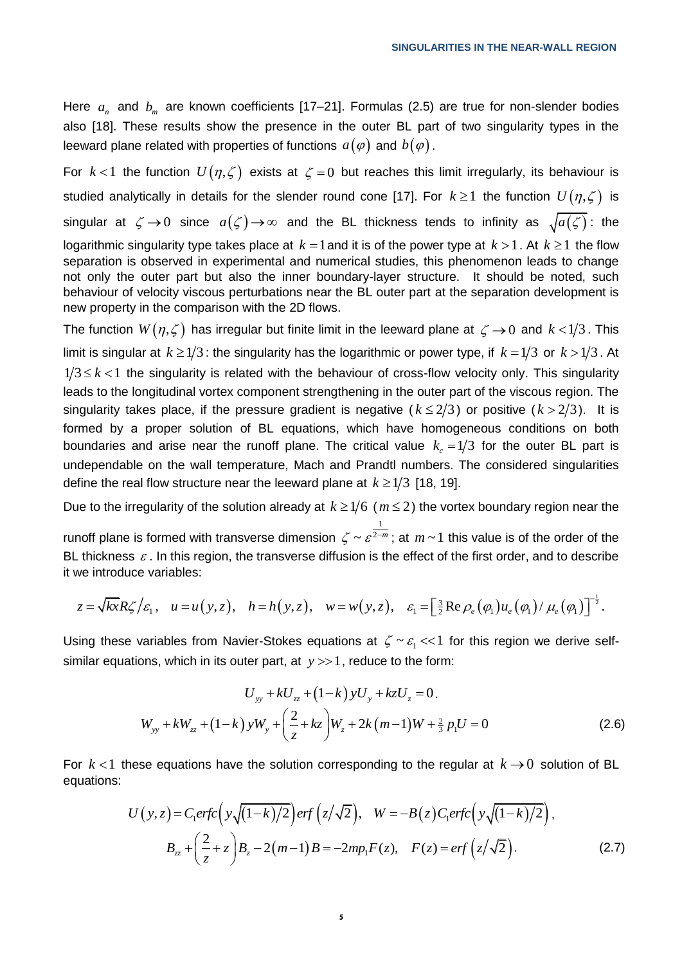Here  $a_n$  and  $b_m$  are known coefficients [17–21]. Formulas (2.5) are true for non-slender bodies also [18]. These results show the presence in the outer BL part of two singularity types in the leeward plane related with properties of functions  $\,a(\varphi)\,$  and  $\,b(\varphi)\,.$ 

For  $k < 1$  the function  $U(\eta,\zeta)$  exists at  $\zeta = 0$  but reaches this limit irregularly, its behaviour is studied analytically in details for the slender round cone [17]. For  $\,k \geq 1\,$  the function  $\,U\big(\eta,\zeta\big)\,$  is singular at  $\zeta \to 0$  since  $a(\zeta) \to \infty$  and the BL thickness tends to infinity as  $\sqrt{a(\zeta)}$ : the logarithmic singularity type takes place at  $k = 1$  and it is of the power type at  $k > 1$  . At  $k \geq 1$  the flow separation is observed in experimental and numerical studies, this phenomenon leads to change not only the outer part but also the inner boundary-layer structure. It should be noted, such behaviour of velocity viscous perturbations near the BL outer part at the separation development is new property in the comparison with the 2D flows.

The function  $W(\eta,\zeta)$  has irregular but finite limit in the leeward plane at  $\zeta \to 0$  and  $k$  < 1/3 . This limit is singular at  $k \geq 1/3$  : the singularity has the logarithmic or power type, if  $k = 1/3$  or  $k > 1/3$  . At  $1/3 \leq k < 1$  the singularity is related with the behaviour of cross-flow velocity only. This singularity leads to the longitudinal vortex component strengthening in the outer part of the viscous region. The singularity takes place, if the pressure gradient is negative ( $k \leq 2/3$ ) or positive ( $k > 2/3$ ). It is formed by а proper solution of BL equations, which have homogeneous conditions on both boundaries and arise near the runoff plane. The critical value  $k_c = 1/3$  for the outer BL part is undependable on the wall temperature, Mach and Prandtl numbers. The considered singularities define the real flow structure near the leeward plane at  $k \geq 1/3$  [18, 19].

Due to the irregularity of the solution already at  $k \geq 1/6$  ( $m \leq 2$ ) the vortex boundary region near the

runoff plane is formed with transverse dimension 1  $\zeta \sim \varepsilon^{2-m}$ ; at  $m \sim 1$  this value is of the order of the BL thickness  $\varepsilon$ . In this region, the transverse diffusion is the effect of the first order, and to describe it we introduce variables: not plane is formed with transverse dimension  $\zeta \sim \varepsilon^{2-m}$ ; at  $m \sim 1$  this value is of the order of the thickness  $\varepsilon$ . In this region, the transverse diffusion is the effect of the first order, and to describe we in

we introduce variables:  
\n
$$
z = \sqrt{kx}R\zeta/\varepsilon_1
$$
,  $u = u(y, z)$ ,  $h = h(y, z)$ ,  $w = w(y, z)$ ,  $\varepsilon_1 = \left[\frac{3}{2}Re \rho_e(\varphi_1)u_e(\varphi_1)/\mu_e(\varphi_1)\right]^{-\frac{1}{2}}$ .

Using these variables from Navier-Stokes equations at  $\zeta \sim \varepsilon_1 << 1$  for this region we derive selfsimilar equations, which in its outer part, at  $y \gg 1$ , reduce to the form:

$$
U_{yy} + kU_{zz} + (1 - k) yU_y + kzU_z = 0.
$$
  

$$
W_{yy} + kW_{zz} + (1 - k) yW_y + \left(\frac{2}{z} + kz\right)W_z + 2k(m - 1)W + \frac{2}{3} p_1 U = 0
$$
 (2.6)

For  $k < 1$  these equations have the solution corresponding to the regular at  $k \to 0$  solution of BL<br>equations:<br> $U(y, z) = C_1 erfc(y\sqrt{(1-k)/2})erf(z/\sqrt{2}), \quad W = -B(z)C_1erfc(y\sqrt{(1-k)/2}),$ equations:

$$
U(y,z) = C_1 erfc\left(y\sqrt{(1-k)/2}\right) erfc\left(z/\sqrt{2}\right), \quad W = -B(z)C_1 erfc\left(y\sqrt{(1-k)/2}\right),
$$

$$
B_{zz} + \left(\frac{2}{z} + z\right)B_z - 2(m-1)B = -2mp_1F(z), \quad F(z) = erf\left(z/\sqrt{2}\right).
$$
(2.7)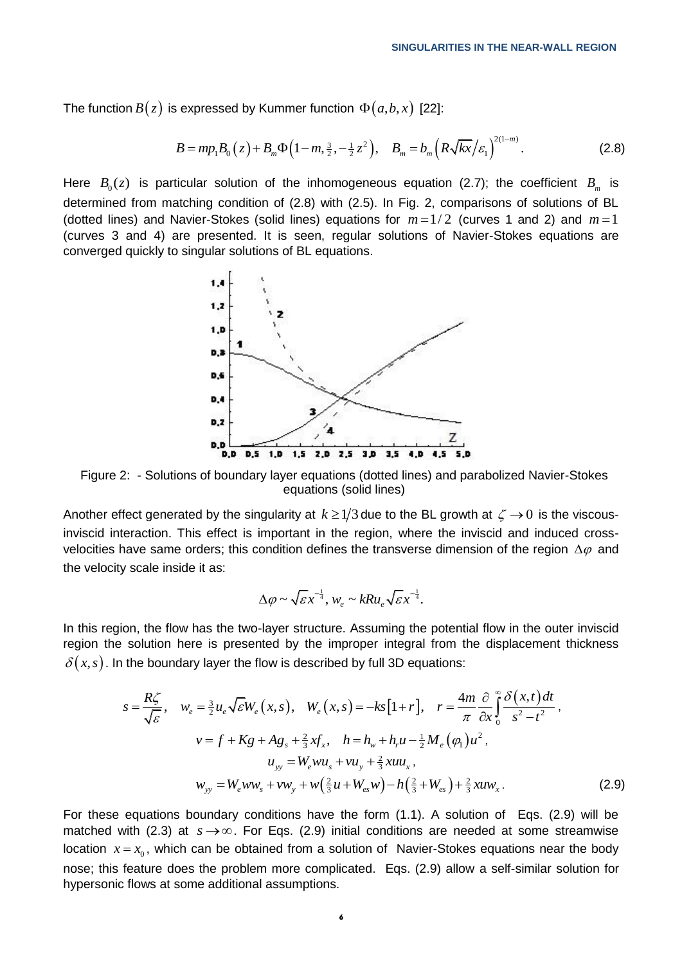The function 
$$
B(z)
$$
 is expressed by Kummer function  $\Phi(a,b,x)$  [22]:  
\n
$$
B = mp_1 B_0(z) + B_m \Phi(1-m, \frac{3}{2}, -\frac{1}{2}z^2), \quad B_m = b_m \left( R \sqrt{kx} / \varepsilon_1 \right)^{2(1-m)}.
$$
\n(2.8)

Here  $B_0(z)$  is particular solution of the inhomogeneous equation (2.7); the coefficient  $B_m$  is determined from matching condition of (2.8) with (2.5). In Fig. 2, comparisons of solutions of BL (dotted lines) and Navier-Stokes (solid lines) equations for  $m = 1/2$  (curves 1 and 2) and  $m = 1$ (curves 3 and 4) are presented. It is seen, regular solutions of Navier-Stokes equations are converged quickly to singular solutions of BL equations.



Figure 2: - Solutions of boundary layer equations (dotted lines) and parabolized Navier-Stokes equations (solid lines)

Another effect generated by the singularity at  $\,k\geq 1/3$  due to the BL growth at  $\,\zeta\to 0\,$  is the viscousinviscid interaction. This effect is important in the region, where the inviscid and induced crossvelocities have same orders; this condition defines the transverse dimension of the region  $\Delta\varphi$  and the velocity scale inside it as:

$$
\Delta \varphi \sim \sqrt{\varepsilon} x^{-\frac{1}{4}}, w_e \sim kRu_e\sqrt{\varepsilon} x^{-\frac{1}{4}}.
$$

In this region, the flow has the two-layer structure. Assuming the potential flow in the outer inviscid region the solution here is presented by the improper integral from the displacement thickness

region the solution here is presented by the improper integral from the displacement thickness  
\n
$$
\delta(x, s)
$$
. In the boundary layer the flow is described by full 3D equations:  
\n
$$
s = \frac{R\zeta}{\sqrt{\varepsilon}}, \quad w_e = \frac{3}{2}u_e\sqrt{\varepsilon}W_e(x, s), \quad W_e(x, s) = -ks[1+r], \quad r = \frac{4m}{\pi} \frac{\partial}{\partial x} \int_0^\infty \frac{\delta(x, t) dt}{s^2 - t^2},
$$
\n
$$
v = f + Kg + Ag_s + \frac{2}{3}xf_x, \quad h = h_w + h_r u - \frac{1}{2}M_e(\varphi_1)u^2,
$$
\n
$$
u_{yy} = W_e w u_s + v u_y + \frac{2}{3}x u u_x,
$$
\n
$$
w_{yy} = W_e w w_s + v w_y + w(\frac{2}{3}u + W_{es}w) - h(\frac{2}{3} + W_{es}) + \frac{2}{3}x u w_x.
$$
\n(2.9)

For these equations boundary conditions have the form (1.1). A solution of Eqs. (2.9) will be matched with (2.3) at  $s \rightarrow \infty$ . For Eqs. (2.9) initial conditions are needed at some streamwise location  $x = x_0$ , which can be obtained from a solution of Navier-Stokes equations near the body nose; this feature does the problem more complicated. Eqs. (2.9) allow a self-similar solution for hypersonic flows at some additional assumptions.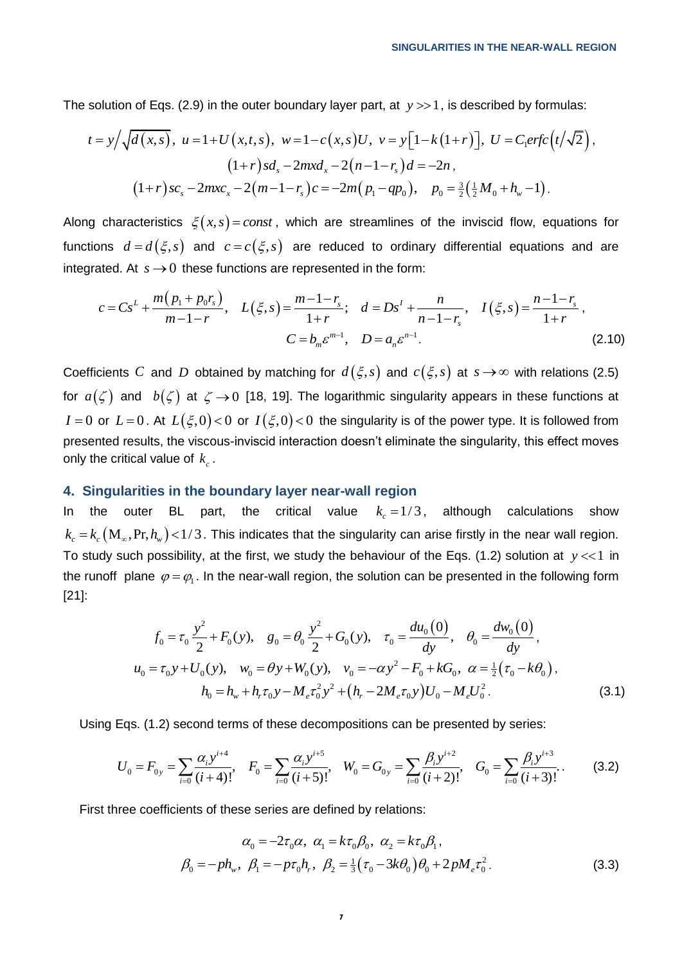The solution of Eqs. (2.9) in the outer boundary layer part, at  $y >> 1$ , is described by formulas:

solution of Eqs. (2.9) in the outer boundary layer part, at 
$$
y \gg 1
$$
, is described by formulas:  
\n
$$
t = y/\sqrt{d(x,s)}, \ u = 1 + U(x,t,s), \ w = 1 - c(x,s)U, \ v = y[1 - k(1+r)], \ U = C_1 erfc(t/\sqrt{2}),
$$
\n
$$
(1+r) sd_s - 2mxd_x - 2(n-1-r_s)d = -2n,
$$
\n
$$
(1+r) sc_s - 2mxc_x - 2(m-1-r_s)c = -2m(p_1 - qp_0), \ p_0 = \frac{3}{2}(\frac{1}{2}M_0 + h_w - 1).
$$

Along characteristics  $\xi(x,s) = const$ , which are streamlines of the inviscid flow, equations for functions  $d = d(\xi, s)$  and  $c = c(\xi, s)$  are reduced to ordinary differential equations and are integrated. At  $s \to 0$  these functions are represented in the form:<br>  $c = Cs^L + \frac{m(p_1 + p_0r_s)}{m-1-r}, \quad L(\xi, s) = \frac{m-1-r_s}{1+r}; \quad d = Ds^L + \frac{n}{$ integrated. At  $s\to 0$  these functions are represented in the form:

$$
a = a(\xi, s) \text{ and } c = c(\xi, s) \text{ are reduced to ordinary differential equations and are}
$$
  
ated. At  $s \to 0$  these functions are represented in the form:  

$$
c = Cs^{L} + \frac{m(p_{1} + p_{0}r_{s})}{m - 1 - r}, \quad L(\xi, s) = \frac{m - 1 - r_{s}}{1 + r}; \quad d = Ds^{L} + \frac{n}{n - 1 - r_{s}}, \quad I(\xi, s) = \frac{n - 1 - r_{s}}{1 + r},
$$

$$
C = b_{m} \varepsilon^{m - 1}, \quad D = a_{n} \varepsilon^{n - 1}.
$$
 (2.10)

Coefficients  $C$  and  $D$  obtained by matching for  $d\left(\xi,s\right)$  and  $c\left(\xi,s\right)$  at  $s\to\infty$  with relations (2.5) for  $a(\zeta)$  and  $b(\zeta)$  at  $\zeta \to 0$  [18, 19]. The logarithmic singularity appears in these functions at  $I=0$  or  $L=0$ . At  $L(\xi,0)$  < 0 or  $I(\xi,0)$  < 0 the singularity is of the power type. It is followed from presented results, the viscous-inviscid interaction doesn't eliminate the singularity, this effect moves only the critical value of  $k_c^{\phantom{\dag}}$  .

## **4. Singularities in the boundary layer near-wall region**

In the outer BL part, the critical value  $k_c = 1/3$ , although calculations show  $k_c$  =  $k_c$   $({\rm M}_\infty,$  Pr,  $h_{\rm w}$ ) < 1/3. This indicates that the singularity can arise firstly in the near wall region. To study such possibility, at the first, we study the behaviour of the Eqs. (1.2) solution at  $y \ll 1$  in the runoff plane  $\varphi = \varphi_1$ . In the near-wall region, the solution can be presented in the following form [21]:

$$
f_0 = \tau_0 \frac{y^2}{2} + F_0(y), \quad g_0 = \theta_0 \frac{y^2}{2} + G_0(y), \quad \tau_0 = \frac{du_0(0)}{dy}, \quad \theta_0 = \frac{dw_0(0)}{dy},
$$
  

$$
u_0 = \tau_0 y + U_0(y), \quad w_0 = \theta y + W_0(y), \quad v_0 = -\alpha y^2 - F_0 + kG_0, \quad \alpha = \frac{1}{2}(\tau_0 - k\theta_0),
$$
  

$$
h_0 = h_w + h_r \tau_0 y - M_e \tau_0 y^2 + (h_r - 2M_e \tau_0 y) U_0 - M_e U_0^2.
$$
 (3.1)

$$
h_0 = h_w + h_r \tau_0 y - M_e \tau_0^2 y^2 + (h_r - 2M_e \tau_0 y) U_0 - M_e U_0^2.
$$
 (3.1  
Using Eqs. (1.2) second terms of these decompositions can be presented by series:  

$$
U_0 = F_{0y} = \sum_{i=0} \frac{\alpha_i y^{i+4}}{(i+4)!}, \quad F_0 = \sum_{i=0} \frac{\alpha_i y^{i+5}}{(i+5)!}, \quad W_0 = G_{0y} = \sum_{i=0} \frac{\beta_i y^{i+2}}{(i+2)!}, \quad G_0 = \sum_{i=0} \frac{\beta_i y^{i+3}}{(i+3)!}.
$$
 (3.2)

First three coefficients of these series are defined by relations:

$$
\alpha_0 = -2\tau_0 \alpha, \ \alpha_1 = k\tau_0 \beta_0, \ \alpha_2 = k\tau_0 \beta_1,
$$
  

$$
\beta_0 = -ph_w, \ \beta_1 = -p\tau_0 h_r, \ \beta_2 = \frac{1}{3}(\tau_0 - 3k\theta_0)\theta_0 + 2pM_e\tau_0^2.
$$
 (3.3)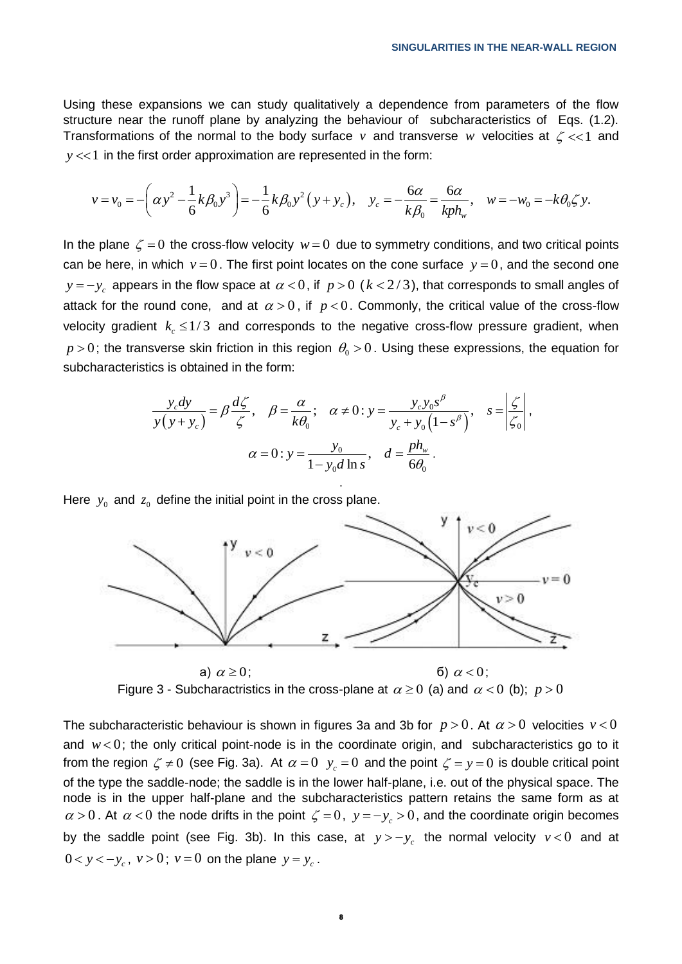Using these expansions we can study qualitatively a dependence from parameters of the flow structure near the runoff plane by analyzing the behaviour of subcharacteristics of Eqs. (1.2). Transformations of the normal to the body surface v and transverse w velocities at  $\zeta \ll 1$  and  $y \ll 1$  in the first order approximation are represented in the form:<br>  $v = v_0 = -\left(\alpha y^2 - \frac{1}{6}k\beta_0 y^3\right) = -\frac{1}{6}k\beta_0 y^2 (y$ 

Equations of the normal to the body surface 
$$
v
$$
 and transverse  $w$  velocities at  $\zeta \ll 1$  and  $y \ll 1$  in the first order approximation are represented in the form:

\n
$$
v = v_0 = -\left(\alpha y^2 - \frac{1}{6}k\beta_0 y^3\right) = -\frac{1}{6}k\beta_0 y^2 \left(y + y_c\right), \quad y_c = -\frac{6\alpha}{k\beta_0} = \frac{6\alpha}{kph_w}, \quad w = -w_0 = -k\theta_0 \zeta y.
$$

In the plane  $\zeta = 0$  the cross-flow velocity  $w = 0$  due to symmetry conditions, and two critical points can be here, in which  $v = 0$ . The first point locates on the cone surface  $y = 0$ , and the second one  $y = -y_c$  appears in the flow space at  $\alpha < 0$ , if  $p > 0$   $(k < 2/3)$ , that corresponds to small angles of attack for the round cone, and at  $\alpha > 0$ , if  $p < 0$ . Commonly, the critical value of the cross-flow velocity gradient  $k_c \leq 1/3$  and corresponds to the negative cross-flow pressure gradient, when  $p > 0$ ; the transverse skin friction in this region  $\theta_{\rm o}$   $> 0$  . Using these expressions, the equation for subcharacteristics is obtained in the form:

ics is obtained in the form:  
\n
$$
\frac{y_c dy}{y(y + y_c)} = \beta \frac{d\zeta}{\zeta}, \quad \beta = \frac{\alpha}{k\theta_0}; \quad \alpha \neq 0; y = \frac{y_c y_0 s^\beta}{y_c + y_0 (1 - s^\beta)}, \quad s = \left| \frac{\zeta}{\zeta_0} \right|,
$$
\n
$$
\alpha = 0; y = \frac{y_0}{1 - y_0 d \ln s}, \quad d = \frac{ph_w}{6\theta_0}.
$$

.

Here  $y_0$  and  $z_0$  define the initial point in the cross plane.



Figure 3 - Subcharactristics in the cross-plane at  $\alpha \ge 0$  (a) and  $\alpha < 0$  (b);  $p > 0$ 

The subcharacteristic behaviour is shown in figures 3a and 3b for  $p > 0$ . At  $\alpha > 0$  velocities  $v < 0$ and  $w < 0$ ; the only critical point-node is in the coordinate origin, and subcharacteristics go to it from the region  $\zeta \neq 0$  (see Fig. 3a). At  $\alpha = 0$   $y_c = 0$  and the point  $\zeta = y = 0$  is double critical point of the type the saddle-node; the saddle is in the lower half-plane, i.e. out of the physical space. The node is in the upper half-plane and the subcharacteristics pattern retains the same form as at  $\alpha$  > 0. At  $\alpha$  < 0 the node drifts in the point  $\zeta = 0$ ,  $y = -y_c > 0$ , and the coordinate origin becomes by the saddle point (see Fig. 3b). In this case, at  $y \gt -y_c$  the normal velocity  $v < 0$  and at  $0 < y < -y_c$ ,  $v > 0$ ;  $v = 0$  on the plane  $y = y_c$ .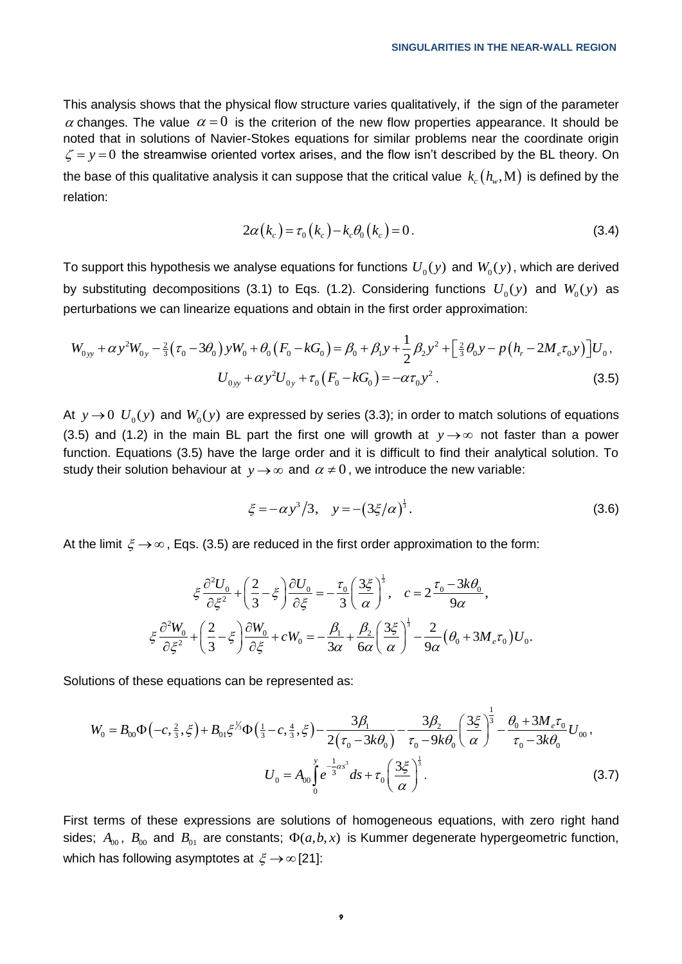This analysis shows that the physical flow structure varies qualitatively, if the sign of the parameter  $\alpha$  changes. The value  $\alpha = 0$  is the criterion of the new flow properties appearance. It should be noted that in solutions of Navier-Stokes equations for similar problems near the coordinate origin  $\zeta = y = 0$  the streamwise oriented vortex arises, and the flow isn't described by the BL theory. On the base of this qualitative analysis it can suppose that the critical value  $\,k_{_c}\big(h_{_w},\mathrm{M}\big)$  is defined by the relation:

$$
2\alpha(k_c) = \tau_0(k_c) - k_c \theta_0(k_c) = 0.
$$
 (3.4)

To support this hypothesis we analyse equations for functions  $\,{U_{_0}}(\mathrm{y})$  and  $\,{W_{_0}}(\mathrm{y})$  , which are derived by substituting decompositions (3.1) to Eqs. (1.2). Considering functions  $U_0(y)$  and  $W_0(y)$  as<br>perturbations we can linearize equations and obtain in the first order approximation:<br> $W_{0yy} + \alpha y^2 W_{0y} - \frac{2}{3} (\tau_0 - 3\theta_0) y$ 

perturbations we can linearize equations and obtain in the first order approximation:  
\n
$$
W_{0yy} + \alpha y^2 W_{0y} - \frac{2}{3} (\tau_0 - 3\theta_0) y W_0 + \theta_0 (F_0 - kG_0) = \beta_0 + \beta_1 y + \frac{1}{2} \beta_2 y^2 + \left[ \frac{2}{3} \theta_0 y - p (h_r - 2M_e \tau_0 y) \right] U_0,
$$
\n
$$
U_{0yy} + \alpha y^2 U_{0y} + \tau_0 (F_0 - kG_0) = -\alpha \tau_0 y^2.
$$
\n(3.5)

At  $y \to 0$   $U_0(y)$  and  $W_0(y)$  are expressed by series (3.3); in order to match solutions of equations (3.5) and (1.2) in the main BL part the first one will growth at  $y \rightarrow \infty$  not faster than a power function. Equations (3.5) have the large order and it is difficult to find their analytical solution. To study their solution behaviour at  $y \rightarrow \infty$  and  $\alpha \neq 0$ , we introduce the new variable:

$$
\xi = -\alpha y^3 / 3, \quad y = -\left(3\xi/\alpha\right)^{\frac{1}{3}}.
$$
\n(3.6)

At the limit 
$$
\xi \to \infty
$$
, Eqs. (3.5) are reduced in the first order approximation to the form:  
\n
$$
\xi \frac{\partial^2 U_0}{\partial \xi^2} + \left(\frac{2}{3} - \xi\right) \frac{\partial U_0}{\partial \xi} = -\frac{\tau_0}{3} \left(\frac{3\xi}{\alpha}\right)^{\frac{1}{3}}, \quad c = 2\frac{\tau_0 - 3k\theta_0}{9\alpha},
$$
\n
$$
\xi \frac{\partial^2 W_0}{\partial \xi^2} + \left(\frac{2}{3} - \xi\right) \frac{\partial W_0}{\partial \xi} + cW_0 = -\frac{\beta_1}{3\alpha} + \frac{\beta_2}{6\alpha} \left(\frac{3\xi}{\alpha}\right)^{\frac{1}{3}} - \frac{2}{9\alpha} (\theta_0 + 3M_e \tau_0)U_0.
$$

Solutions of these equations can be represented as:

tions of these equations can be represented as:  
\n
$$
W_0 = B_{00} \Phi \left( -c, \frac{2}{3}, \xi \right) + B_{01} \xi^{1/3} \Phi \left( \frac{1}{3} - c, \frac{4}{3}, \xi \right) - \frac{3\beta_1}{2 \left( \tau_0 - 3k\theta_0 \right)} - \frac{3\beta_2}{\tau_0 - 9k\theta_0} \left( \frac{3\xi}{\alpha} \right)^{\frac{1}{3}} - \frac{\theta_0 + 3M_e \tau_0}{\tau_0 - 3k\theta_0} U_{00},
$$
\n
$$
U_0 = A_{00} \int_0^y e^{-\frac{1}{3} \alpha s^3} ds + \tau_0 \left( \frac{3\xi}{\alpha} \right)^{\frac{1}{3}}.
$$
\n(3.7)

First terms of these expressions are solutions of homogeneous equations, with zero right hand sides;  $A_{00}$ ,  $B_{00}$  and  $B_{01}$  are constants;  $\Phi(a,b,x)$  is Kummer degenerate hypergeometric function, which has following asymptotes at  $\xi \rightarrow \infty$  [21]: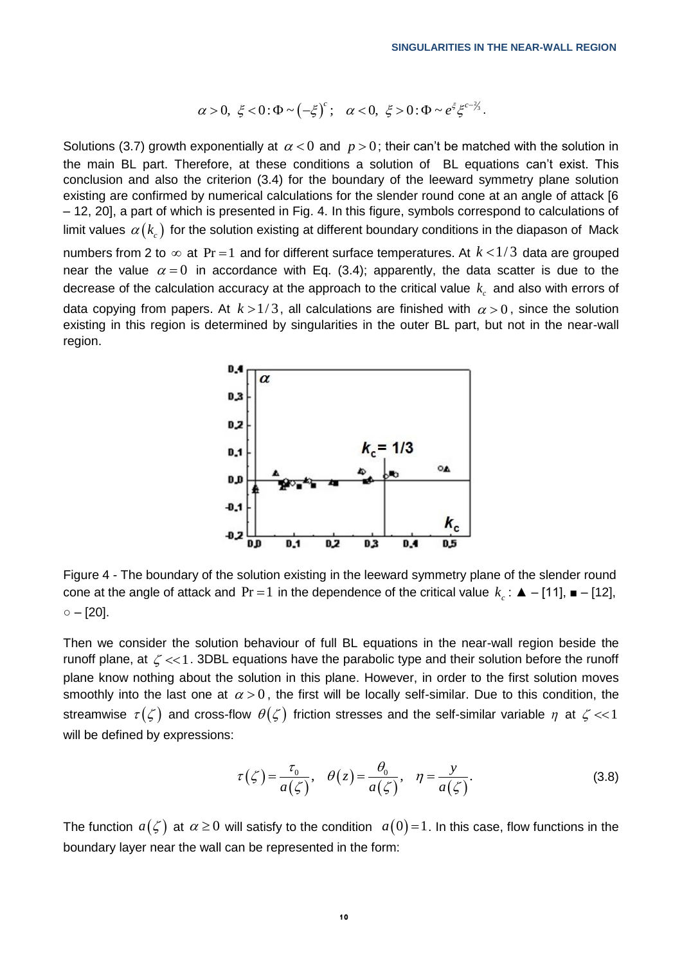$$
\alpha > 0, \xi < 0 : \Phi \sim (-\xi)^c; \quad \alpha < 0, \xi > 0 : \Phi \sim e^{\xi} \xi^{c-\lambda_3}.
$$

Solutions (3.7) growth exponentially at  $\alpha < 0$  and  $p > 0$ ; their can't be matched with the solution in the main BL part. Therefore, at these conditions a solution of BL equations can't exist. This conclusion and also the criterion (3.4) for the boundary of the leeward symmetry plane solution existing are confirmed by numerical calculations for the slender round cone at an angle of attack [6 – 12, 20], a part of which is presented in Fig. 4. In this figure, symbols correspond to calculations of limit values  $\,\alpha(k_c^{})$  for the solution existing at different boundary conditions in the diapason of  $\,$  Mack  $\,$ numbers from 2 to  $\infty$  at Pr = 1 and for different surface temperatures. At  $k$  < 1/3 data are grouped near the value  $\alpha = 0$  in accordance with Eq. (3.4); apparently, the data scatter is due to the decrease of the calculation accuracy at the approach to the critical value  $k_c$  and also with errors of data copying from papers. At  $k > 1/3$ , all calculations are finished with  $\alpha > 0$ , since the solution existing in this region is determined by singularities in the outer BL part, but not in the near-wall region.



Figure 4 - The boundary of the solution existing in the leeward symmetry plane of the slender round cone at the angle of attack and  $\Pr = 1$  in the dependence of the critical value  $k_c$ :  $\blacktriangle = [11]$ ,  $\blacktriangleright$  - [12],  $\circ$  – [20].

Then we consider the solution behaviour of full BL equations in the near-wall region beside the runoff plane, at  $\zeta \ll 1$ . 3DBL equations have the parabolic type and their solution before the runoff plane know nothing about the solution in this plane. However, in order to the first solution moves smoothly into the last one at  $\alpha > 0$ , the first will be locally self-similar. Due to this condition, the streamwise  $\tau(\zeta)$  and cross-flow  $\theta(\zeta)$  friction stresses and the self-similar variable  $\eta$  at  $\zeta << 1$ will be defined by expressions:

$$
\tau(\zeta) = \frac{\tau_0}{a(\zeta)}, \quad \theta(z) = \frac{\theta_0}{a(\zeta)}, \quad \eta = \frac{y}{a(\zeta)}.
$$
\n(3.8)

The function  $a(\zeta)$  at  $\alpha \ge 0$  will satisfy to the condition  $a(0)$ =1. In this case, flow functions in the boundary layer near the wall can be represented in the form: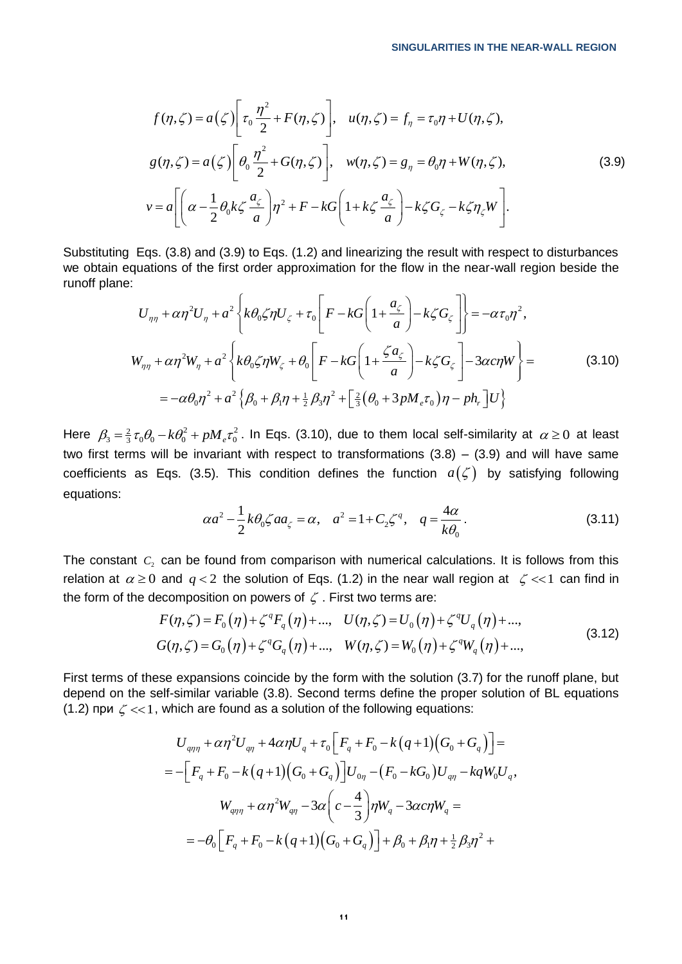$$
f(\eta,\zeta) = a(\zeta) \left[ \tau_0 \frac{\eta^2}{2} + F(\eta,\zeta) \right], \quad u(\eta,\zeta) = f_{\eta} = \tau_0 \eta + U(\eta,\zeta),
$$
  

$$
g(\eta,\zeta) = a(\zeta) \left[ \theta_0 \frac{\eta^2}{2} + G(\eta,\zeta) \right], \quad w(\eta,\zeta) = g_{\eta} = \theta_0 \eta + W(\eta,\zeta),
$$
  

$$
v = a \left[ \left( \alpha - \frac{1}{2} \theta_0 k \zeta \frac{a_{\zeta}}{a} \right) \eta^2 + F - kG \left( 1 + k \zeta \frac{a_{\zeta}}{a} \right) - k \zeta G_{\zeta} - k \zeta \eta_{\zeta} W \right].
$$
 (3.9)

Substituting Eqs. (3.8) and (3.9) to Eqs. (1.2) and linearizing the result with respect to disturbances Substituting Eqs. (3.8) and (3.9) to Eqs. (1.2) and linearizing the result with respect to disturbances we obtain equations of the first order approximation for the flow in the near-wall region beside the runoff plane:<br> runoff plane:

equations of the first order approximation for the flow in the near-wall region beside the:  
\n
$$
U_{\eta\eta} + \alpha \eta^2 U_{\eta} + a^2 \left\{ k\theta_0 \zeta \eta U_{\zeta} + \tau_0 \left[ F - kG \left( 1 + \frac{a_{\zeta}}{a} \right) - k \zeta G_{\zeta} \right] \right\} = -\alpha \tau_0 \eta^2,
$$
\n
$$
W_{\eta\eta} + \alpha \eta^2 W_{\eta} + a^2 \left\{ k\theta_0 \zeta \eta W_{\zeta} + \theta_0 \left[ F - kG \left( 1 + \frac{\zeta a_{\zeta}}{a} \right) - k \zeta G_{\zeta} \right] - 3\alpha c \eta W \right\} =
$$
\n
$$
= -\alpha \theta_0 \eta^2 + a^2 \left\{ \beta_0 + \beta_1 \eta + \frac{1}{2} \beta_3 \eta^2 + \left[ \frac{2}{3} \left( \theta_0 + 3p M_{\zeta} \tau_0 \right) \eta - p h_{\zeta} \right] U \right\}
$$
\n(3.10)

Here  $\beta_3 = \frac{2}{3} \tau_0 \theta_0 - k \theta_0^2 + p M_e \tau_0^2$ . In Eqs. (3.10), due to them local self-similarity at  $\alpha \ge 0$  at least two first terms will be invariant with respect to transformations  $(3.8) - (3.9)$  and will have same coefficients as Eqs. (3.5). This condition defines the function  $a(\zeta)$  by satisfying following equations:

$$
\alpha a^{2} - \frac{1}{2} k \theta_{0} \zeta a a_{\zeta} = \alpha, \quad a^{2} = 1 + C_{2} \zeta^{q}, \quad q = \frac{4\alpha}{k \theta_{0}}.
$$
 (3.11)

The constant  $C_2$  can be found from comparison with numerical calculations. It is follows from this relation at  $\alpha \ge 0$  and  $q < 2$  the solution of Eqs. (1.2) in the near wall region at  $\zeta << 1$  can find in<br>the form of the decomposition on powers of  $\zeta$ . First two terms are:<br> $F(\eta, \zeta) = F_0(\eta) + \zeta^q F_q(\eta) + ...$ ,  $U(\eta, \zeta) = U$ the form of the decomposition on powers of  $\zeta$ . First two terms are:<br> $F(\eta,\zeta) = F_o(\eta) + \zeta^q F_o(\eta) + ...$ ,  $U(\eta,\zeta) = U_o(\eta) + \zeta^q$ and  $q < 2$  the solution of Eqs. (1.2) in the near wall re<br>
ecomposition on powers of  $\zeta$ . First two terms are:<br>  $F(\eta, \zeta) = F_0(\eta) + \zeta^q F_q(\eta) + ...$ ,  $U(\eta, \zeta) = U_0(\eta) + \zeta^q U$ 

ECDIPDSATION OF Powers of 
$$
\zeta
$$
. This two terms are.  
\n
$$
F(\eta, \zeta) = F_0(\eta) + \zeta^q F_q(\eta) + ..., \qquad U(\eta, \zeta) = U_0(\eta) + \zeta^q U_q(\eta) + ...,
$$
\n
$$
G(\eta, \zeta) = G_0(\eta) + \zeta^q G_q(\eta) + ..., \qquad W(\eta, \zeta) = W_0(\eta) + \zeta^q W_q(\eta) + ..., \qquad (3.12)
$$

First terms of these expansions coincide by the form with the solution (3.7) for the runoff plane, but depend on the self-similar variable (3.8). Second terms define the proper solution of BL equations

(1.2) 
$$
\text{hph } \zeta \ll 1
$$
, which are found as a solution of the following equations:  
\n
$$
U_{q\eta\eta} + \alpha \eta^2 U_{q\eta} + 4\alpha \eta U_q + \tau_0 \Big[ F_q + F_0 - k (q+1) (G_0 + G_q) \Big] =
$$
\n
$$
= - \Big[ F_q + F_0 - k (q+1) (G_0 + G_q) \Big] U_{0\eta} - (F_0 - k G_0) U_{q\eta} - k q W_0 U_q,
$$
\n
$$
W_{q\eta\eta} + \alpha \eta^2 W_{q\eta} - 3\alpha \Big( c - \frac{4}{3} \Big) \eta W_q - 3\alpha c \eta W_q =
$$
\n
$$
= -\theta_0 \Big[ F_q + F_0 - k (q+1) (G_0 + G_q) \Big] + \beta_0 + \beta_1 \eta + \frac{1}{2} \beta_3 \eta^2 +
$$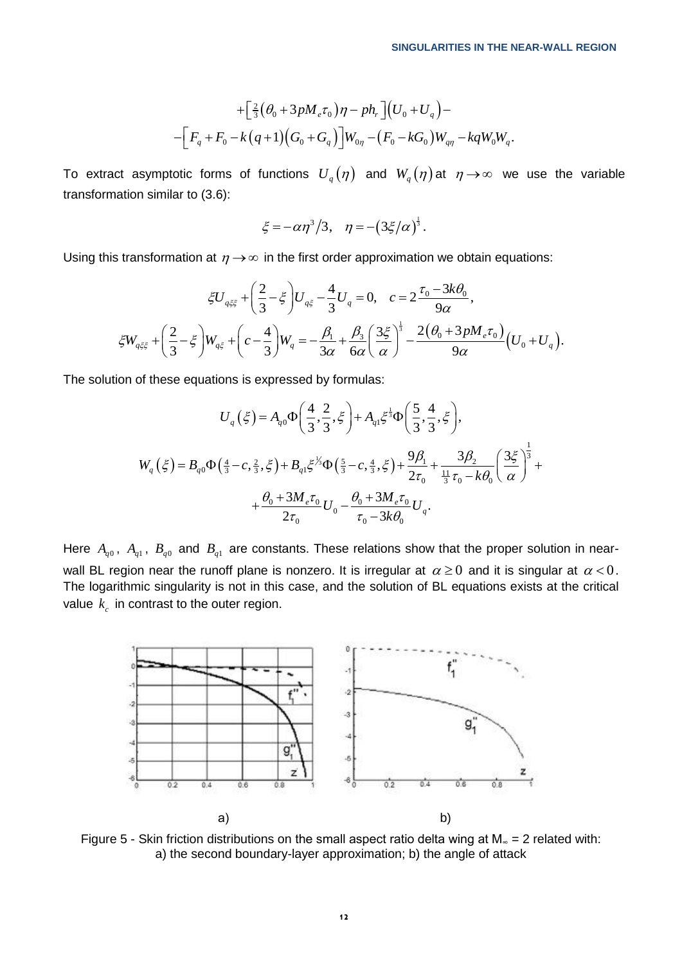$$
+\Big[\tfrac{2}{3}(\theta_0+3pM_{e}\tau_0)\eta-ph_{r}\Big](U_0+U_q)-
$$
  

$$
-\Big[F_q+F_0-k\big(q+1\big)\big(G_0+G_q\big)\Big]W_{0\eta}-\big(F_0-kG_0\big)W_{q\eta}-kqW_0W_q.
$$

To extract asymptotic forms of functions  $\, U_{q}(\eta)\,$  and  $\, W_{q}(\eta)\,$ at  $\,\eta \rightarrow \infty\,$  we use the variable transformation similar to (3.6):

$$
\xi = -\alpha \eta^3 / 3
$$
,  $\eta = - (3\xi/\alpha)^{\frac{1}{3}}$ .

Using this transformation at 
$$
\eta \to \infty
$$
 in the first order approximation we obtain equations:  
\n
$$
\xi U_{q\xi\xi} + \left(\frac{2}{3} - \xi\right) U_{q\xi} - \frac{4}{3} U_q = 0, \quad c = 2 \frac{\tau_0 - 3k\theta_0}{9\alpha},
$$
\n
$$
\xi W_{q\xi\xi} + \left(\frac{2}{3} - \xi\right) W_{q\xi} + \left(c - \frac{4}{3}\right) W_q = -\frac{\beta_1}{3\alpha} + \frac{\beta_3}{6\alpha} \left(\frac{3\xi}{\alpha}\right)^{\frac{1}{3}} - \frac{2(\theta_0 + 3pM_e\tau_0)}{9\alpha} (U_0 + U_q).
$$

The solution of these equations is expressed by formulas:

$$
U_q(\xi) = A_{q0} \Phi\left(\frac{4}{3}, \frac{2}{3}, \xi\right) + A_{q1} \xi^{\frac{1}{3}} \Phi\left(\frac{5}{3}, \frac{4}{3}, \xi\right),
$$
  

$$
W_q(\xi) = B_{q0} \Phi\left(\frac{4}{3} - c, \frac{2}{3}, \xi\right) + B_{q1} \xi^{\frac{1}{3}} \Phi\left(\frac{5}{3} - c, \frac{4}{3}, \xi\right) + \frac{9\beta_1}{2\tau_0} + \frac{3\beta_2}{\frac{11}{3}\tau_0 - k\theta_0} \left(\frac{3\xi}{\alpha}\right)^{\frac{1}{3}} + \frac{\beta_0 + 3M_e \tau_0}{2\tau_0} U_0 - \frac{\theta_0 + 3M_e \tau_0}{\tau_0 - 3k\theta_0} U_q.
$$

Here  $A_{q0}$ ,  $A_{q1}$ ,  $B_{q0}$  and  $B_{q1}$  are constants. These relations show that the proper solution in nearwall BL region near the runoff plane is nonzero. It is irregular at  $\alpha \geq 0$  and it is singular at  $\alpha < 0$ . The logarithmic singularity is not in this case, and the solution of BL equations exists at the critical value  $\,k_{_c}\,$  in contrast to the outer region.



Figure 5 - Skin friction distributions on the small aspect ratio delta wing at  $M_$  = 2 related with: a) the second boundary-layer approximation; b) the angle of attack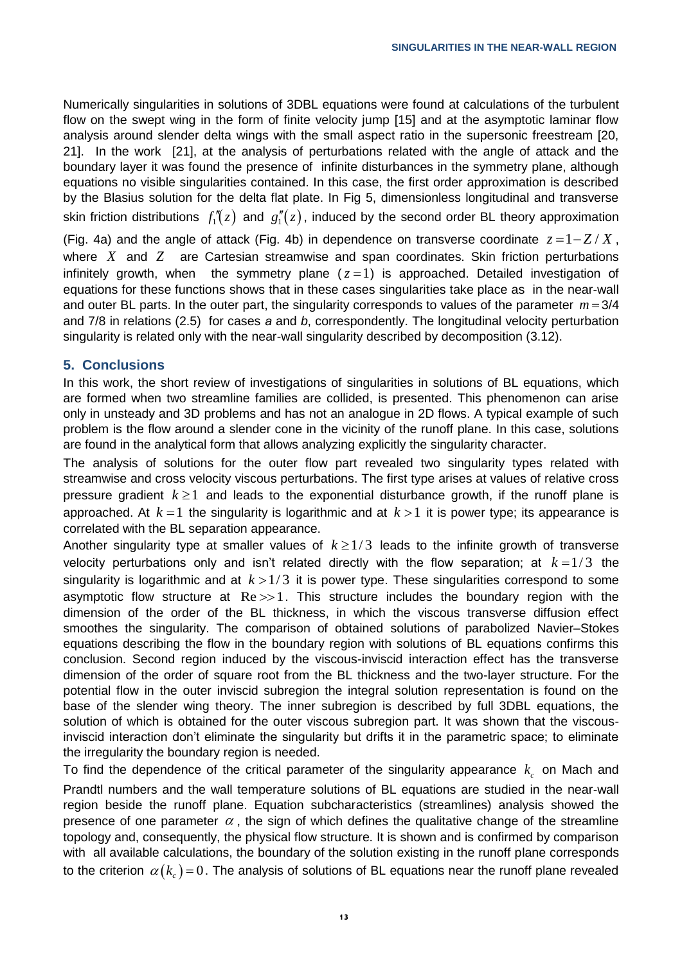Numerically singularities in solutions of 3DBL equations were found at calculations of the turbulent flow on the swept wing in the form of finite velocity jump [15] and at the asymptotic laminar flow analysis around slender delta wings with the small aspect ratio in the supersonic freestream [20, 21]. In the work [21], at the analysis of perturbations related with the angle of attack and the boundary layer it was found the presence of infinite disturbances in the symmetry plane, although equations no visible singularities contained. In this case, the first order approximation is described by the Blasius solution for the delta flat plate. In Fig 5, dimensionless longitudinal and transverse skin friction distributions  $f''_1(z)$  and  $g''_1(z)$ , induced by the second order BL theory approximation

(Fig. 4a) and the angle of attack (Fig. 4b) in dependence on transverse coordinate  $z = 1 - Z/X$ , where X and Z are Cartesian streamwise and span coordinates. Skin friction perturbations infinitely growth, when the symmetry plane  $(z=1)$  is approached. Detailed investigation of equations for these functions shows that in these cases singularities take place as in the near-wall and outer BL parts. In the outer part, the singularity corresponds to values of the parameter *m* 3/4 and 7/8 in relations (2.5) for cases *а* and *b*, correspondently. The longitudinal velocity perturbation singularity is related only with the near-wall singularity described by decomposition (3.12).

## **5. Conclusions**

In this work, the short review of investigations of singularities in solutions of BL equations, which are formed when two streamline families are collided, is presented. This phenomenon can arise only in unsteady and 3D problems and has not an analogue in 2D flows. A typical example of such problem is the flow around a slender cone in the vicinity of the runoff plane. In this case, solutions are found in the analytical form that allows analyzing explicitly the singularity character.

The analysis of solutions for the outer flow part revealed two singularity types related with streamwise and cross velocity viscous perturbations. The first type arises at values of relative cross pressure gradient  $k \geq 1$  and leads to the exponential disturbance growth, if the runoff plane is approached. At  $k = 1$  the singularity is logarithmic and at  $k > 1$  it is power type; its appearance is correlated with the BL separation appearance.

Another singularity type at smaller values of  $k \geq 1/3$  leads to the infinite growth of transverse velocity perturbations only and isn't related directly with the flow separation; at  $k = 1/3$  the singularity is logarithmic and at  $k > 1/3$  it is power type. These singularities correspond to some asymptotic flow structure at  $Re \gg 1$ . This structure includes the boundary region with the dimension of the order of the BL thickness, in which the viscous transverse diffusion effect smoothes the singularity. The comparison of obtained solutions of parabolized Navier–Stokes equations describing the flow in the boundary region with solutions of BL equations confirms this conclusion. Second region induced by the viscous-inviscid interaction effect has the transverse dimension of the order of square root from the BL thickness and the two-layer structure. For the potential flow in the outer inviscid subregion the integral solution representation is found on the base of the slender wing theory. The inner subregion is described by full 3DBL equations, the solution of which is obtained for the outer viscous subregion part. It was shown that the viscousinviscid interaction don't eliminate the singularity but drifts it in the parametric space; to eliminate the irregularity the boundary region is needed.

To find the dependence of the critical parameter of the singularity appearance  $k_c$  on Mach and Prandtl numbers and the wall temperature solutions of BL equations are studied in the near-wall region beside the runoff plane. Equation subcharacteristics (streamlines) analysis showed the presence of one parameter  $\alpha$ , the sign of which defines the qualitative change of the streamline topology and, consequently, the physical flow structure. It is shown and is confirmed by comparison with all available calculations, the boundary of the solution existing in the runoff plane corresponds to the criterion  $\alpha(k_{c})$ =0. The analysis of solutions of BL equations near the runoff plane revealed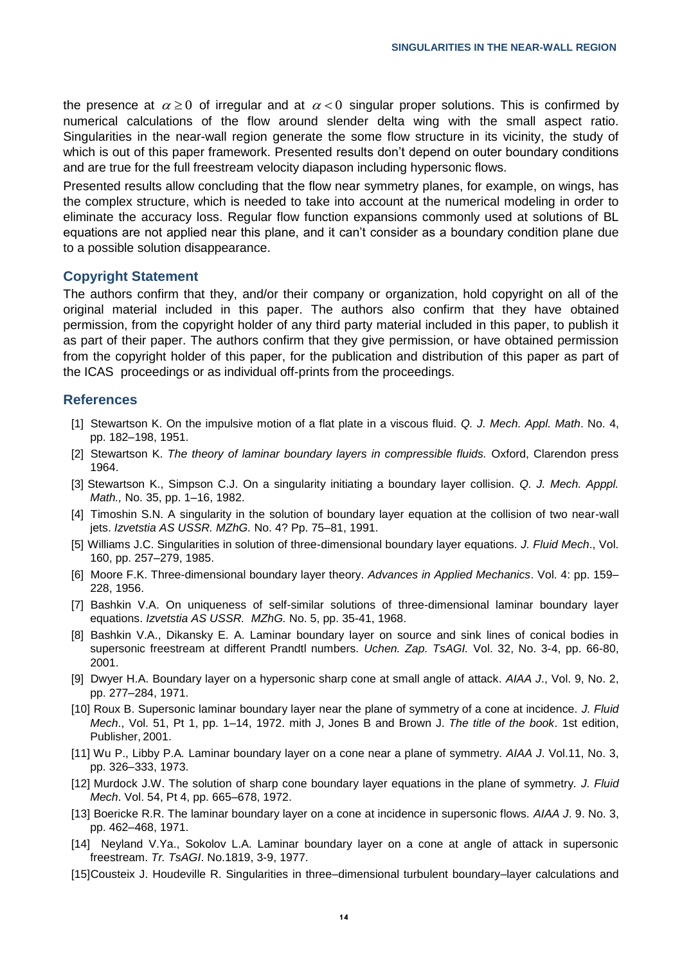the presence at  $\alpha \geq 0$  of irregular and at  $\alpha < 0$  singular proper solutions. This is confirmed by numerical calculations of the flow around slender delta wing with the small aspect ratio. Singularities in the near-wall region generate the some flow structure in its vicinity, the study of which is out of this paper framework. Presented results don't depend on outer boundary conditions and are true for the full freestream velocity diapason including hypersonic flows.

Presented results allow concluding that the flow near symmetry planes, for example, on wings, has the complex structure, which is needed to take into account at the numerical modeling in order to eliminate the accuracy loss. Regular flow function expansions commonly used at solutions of BL equations are not applied near this plane, and it can't consider as a boundary condition plane due to a possible solution disappearance.

### **Copyright Statement**

The authors confirm that they, and/or their company or organization, hold copyright on all of the original material included in this paper. The authors also confirm that they have obtained permission, from the copyright holder of any third party material included in this paper, to publish it as part of their paper. The authors confirm that they give permission, or have obtained permission from the copyright holder of this paper, for the publication and distribution of this paper as part of the ICAS proceedings or as individual off-prints from the proceedings.

## **References**

- [1] Stewartson K. On the impulsive motion of a flat plate in a viscous fluid. *Q. J. Mech. Appl. Math*. No. 4, pp. 182–198, 1951.
- [2] Stewartson K. *The theory of laminar boundary layers in compressible fluids.* Oxford, Clarendon press 1964.
- [3] Stewartson K., Simpson C.J. On a singularity initiating a boundary layer collision. *Q. J. Mech. Apppl. Math.,* No. 35, pp. 1–16, 1982.
- [4] Timoshin S.N. A singularity in the solution of boundary layer equation at the collision of two near-wall jets. *Izvetstia AS USSR. MZhG.* No. 4? Pp. 75–81, 1991.
- [5] Williams J.C. Singularities in solution of three-dimensional boundary layer equations. *J. Fluid Mech*., Vol. 160, pp. 257–279, 1985.
- [6] Moore F.K. Three-dimensional boundary layer theory. *Advances in Applied Mechanics*. Vol. 4: pp. 159– 228, 1956.
- [7] Bashkin V.A. On uniqueness of self-similar solutions of three-dimensional laminar boundary layer equations. *Izvetstia AS USSR. MZhG.* No. 5, pp. 35-41, 1968.
- [8] Bashkin V.A., Dikansky E. A. Laminar boundary layer on source and sink lines of conical bodies in supersonic freestream at different Prandtl numbers. *Uchen. Zap. TsAGI.* Vol. 32, No. 3-4, pp. 66-80, 2001.
- [9] Dwyer H.A. Boundary layer on a hypersonic sharp cone at small angle of attack. *AIAA J*., Vol. 9, No. 2, pp. 277–284, 1971.
- [10] Roux B. Supersonic laminar boundary layer near the plane of symmetry of a cone at incidence. *J. Fluid Mech*., Vol. 51, Pt 1, pp. 1–14, 1972. mith J, Jones B and Brown J. *The title of the book*. 1st edition, Publisher, 2001.
- [11] Wu P., Libby P.A*.* Laminar boundary layer on a cone near a plane of symmetry. *AIAA J*. Vol.11, No. 3, pp. 326–333, 1973.
- [12] Murdock J.W. The solution of sharp cone boundary layer equations in the plane of symmetry. *J. Fluid Mech*. Vol. 54, Pt 4, pp. 665–678, 1972.
- [13] Boericke R.R. The laminar boundary layer on a cone at incidence in supersonic flows. *AIAA J*. 9. No. 3, pp. 462–468, 1971.
- [14] Neyland V.Ya., Sokolov L.A. Laminar boundary layer on a cone at angle of attack in supersonic freestream. *Tr. TsAGI*. No.1819, 3-9, 1977.
- [15]Cousteix J. Houdeville R. Singularities in three–dimensional turbulent boundary–layer calculations and